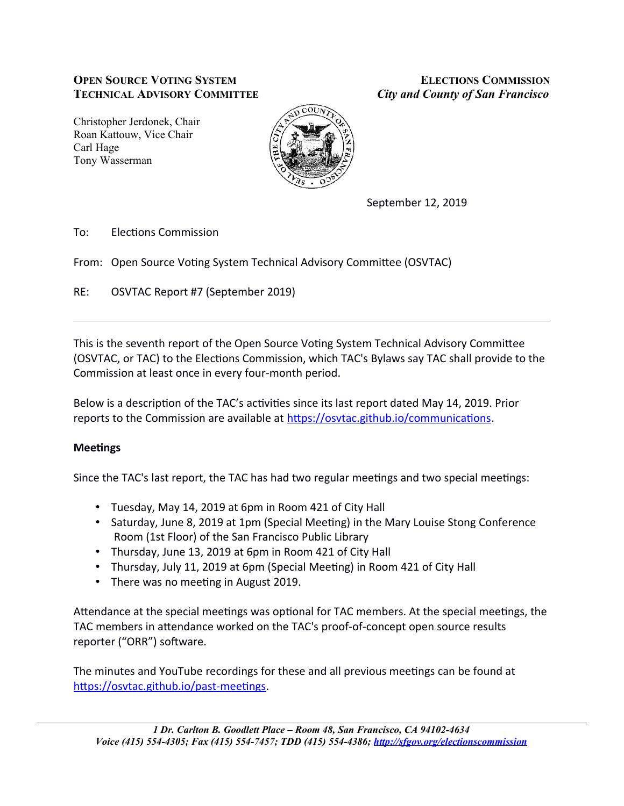# **OPEN SOURCE VOTING SYSTEM ELECTIONS COMMISSION TECHNICAL ADVISORY COMMITTEE** *City and County of San Francisco*

Christopher Jerdonek, Chair Roan Kattouw, Vice Chair Carl Hage Tony Wasserman



September 12, 2019

To: Elections Commission

From: Open Source Voting System Technical Advisory Committee (OSVTAC)

RE: OSVTAC Report #7 (September 2019)

This is the seventh report of the Open Source Voting System Technical Advisory Committee (OSVTAC, or TAC) to the Elections Commission, which TAC's Bylaws say TAC shall provide to the Commission at least once in every four-month period.

Below is a description of the TAC's activities since its last report dated May 14, 2019. Prior reports to the Commission are available at https://osvtac.github.io/communications.

# **Meetings**

Since the TAC's last report, the TAC has had two regular meetings and two special meetings:

- Tuesday, May 14, 2019 at 6pm in Room 421 of City Hall
- Saturday, June 8, 2019 at 1pm (Special Meeting) in the Mary Louise Stong Conference Room (1st Floor) of the San Francisco Public Library
- Thursday, June 13, 2019 at 6pm in Room 421 of City Hall
- Thursday, July 11, 2019 at 6pm (Special Meeting) in Room 421 of City Hall
- There was no meeting in August 2019.

Attendance at the special meetings was optional for TAC members. At the special meetings, the TAC members in attendance worked on the TAC's proof-of-concept open source results reporter ("ORR") software.

The minutes and YouTube recordings for these and all previous meetings can be found at https://osvtac.github.io/past-meetings.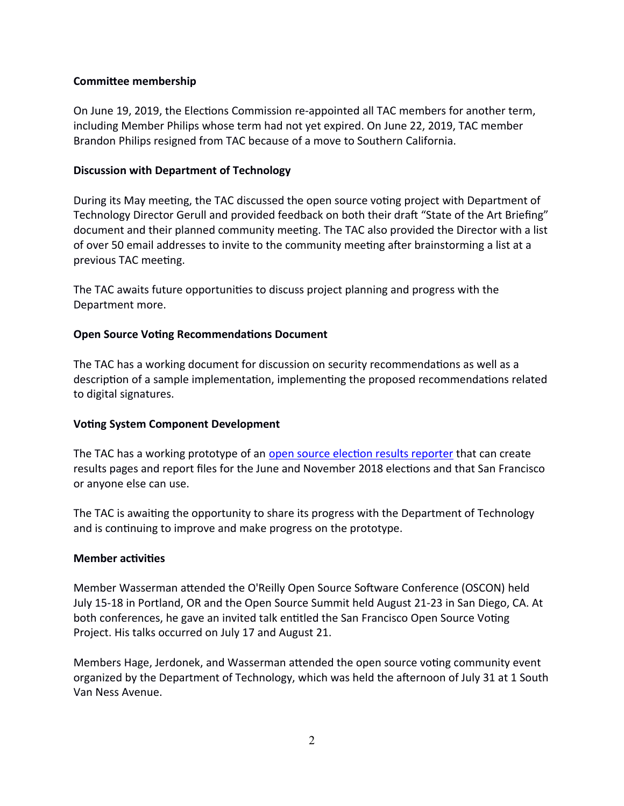## **Commitee membessii**

On June 19, 2019, the Elections Commission re-appointed all TAC members for another term, including Member Philips whose term had not yet expired. On June 22, 2019, TAC member Brandon Philips resigned from TAC because of a move to Southern California.

### **Discussion with Department of Technology**

During its May meeting, the TAC discussed the open source voting project with Department of Technology Director Gerull and provided feedback on both their draft "State of the Art Briefing" document and their planned community meeting. The TAC also provided the Director with a list of over 50 email addresses to invite to the community meeting after brainstorming a list at a previous TAC meeting.

The TAC awaits future opportunities to discuss project planning and progress with the Department more.

#### **Open Source Voting Recommendations Document**

The TAC has a working document for discussion on security recommendations as well as a description of a sample implementation, implementing the proposed recommendations related to digital signatures.

## **Voting System Component Development**

The TAC has a working prototype of an open source election results reporter that can create results pages and report files for the June and November 2018 elections and that San Francisco or anyone else can use.

The TAC is awaiting the opportunity to share its progress with the Department of Technology and is continuing to improve and make progress on the prototype.

#### **Membes activities**

Member Wasserman attended the O'Reilly Open Source Software Conference (OSCON) held July 15-18 in Portland, OR and the Open Source Summit held August 21-23 in San Diego, CA. At both conferences, he gave an invited talk entitled the San Francisco Open Source Voting Project. His talks occurred on July 17 and August 21.

Members Hage, Jerdonek, and Wasserman attended the open source voting community event organized by the Department of Technology, which was held the afternoon of July 31 at 1 South Van Ness Avenue.